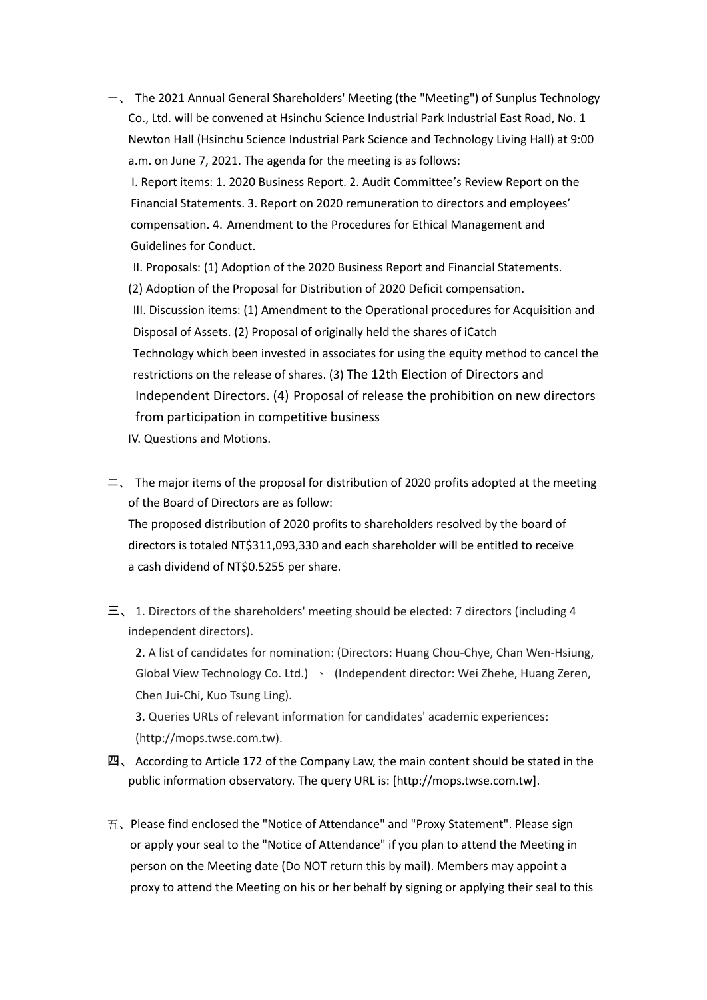一、 The 2021 Annual General Shareholders' Meeting (the "Meeting") of Sunplus Technology Co., Ltd. will be convened at Hsinchu Science Industrial Park Industrial East Road, No. 1 Newton Hall (Hsinchu Science Industrial Park Science and Technology Living Hall) at 9:00 a.m. on June 7, 2021. The agenda for the meeting is as follows:

 I. Report items: 1. 2020 Business Report. 2. Audit Committee's Review Report on the Financial Statements. 3. Report on 2020 remuneration to directors and employees' compensation. 4. Amendment to the Procedures for Ethical Management and Guidelines for Conduct.

II. Proposals: (1) Adoption of the 2020 Business Report and Financial Statements.

(2) Adoption of the Proposal for Distribution of 2020 Deficit compensation.

III. Discussion items: (1) Amendment to the Operational procedures for Acquisition and Disposal of Assets. (2) Proposal of originally held the shares of iCatch Technology which been invested in associates for using the equity method to cancel the restrictions on the release of shares. (3) The 12th Election of Directors and Independent Directors. (4) Proposal of release the prohibition on new directors from participation in competitive business

IV. Questions and Motions.

 $\equiv$ , The major items of the proposal for distribution of 2020 profits adopted at the meeting of the Board of Directors are as follow: The proposed distribution of 2020 profits to shareholders resolved by the board of directors is totaled NT\$311,093,330 and each shareholder will be entitled to receive

a cash dividend of NT\$0.5255 per share.

 $\equiv$ , 1. Directors of the shareholders' meeting should be elected: 7 directors (including 4 independent directors).

2. A list of candidates for nomination: (Directors: Huang Chou-Chye, Chan Wen-Hsiung, Global View Technology Co. Ltd.) \ (Independent director: Wei Zhehe, Huang Zeren, Chen Jui-Chi, Kuo Tsung Ling).

3. Queries URLs of relevant information for candidates' academic experiences: (http://mops.twse.com.tw).

- 四、 According to Article 172 of the Company Law, the main content should be stated in the public information observatory. The query URL is: [http://mops.twse.com.tw].
- $\overline{\text{h}}$ . Please find enclosed the "Notice of Attendance" and "Proxy Statement". Please sign or apply your seal to the "Notice of Attendance" if you plan to attend the Meeting in person on the Meeting date (Do NOT return this by mail). Members may appoint a proxy to attend the Meeting on his or her behalf by signing or applying their seal to this